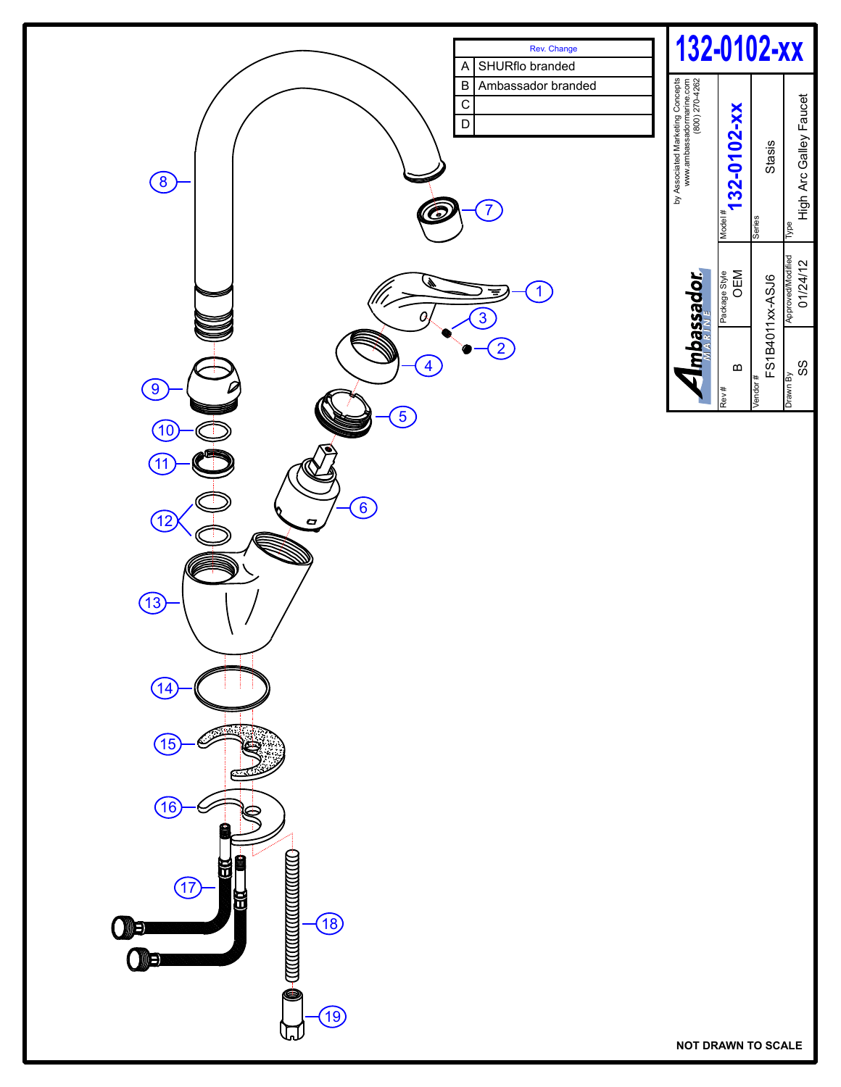